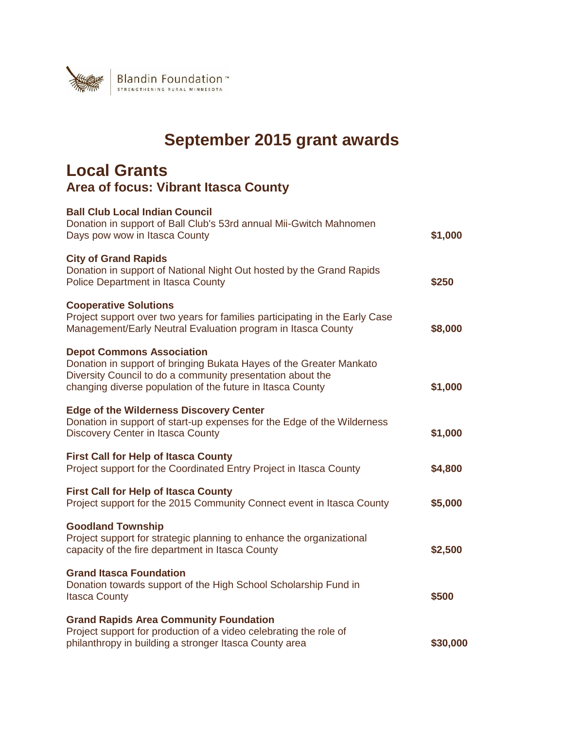

## **September 2015 grant awards**

## **Local Grants Area of focus: Vibrant Itasca County**

| <b>Ball Club Local Indian Council</b><br>Donation in support of Ball Club's 53rd annual Mii-Gwitch Mahnomen<br>Days pow wow in Itasca County                                                                                        | \$1,000  |
|-------------------------------------------------------------------------------------------------------------------------------------------------------------------------------------------------------------------------------------|----------|
| <b>City of Grand Rapids</b><br>Donation in support of National Night Out hosted by the Grand Rapids<br>Police Department in Itasca County                                                                                           | \$250    |
| <b>Cooperative Solutions</b><br>Project support over two years for families participating in the Early Case<br>Management/Early Neutral Evaluation program in Itasca County                                                         | \$8,000  |
| <b>Depot Commons Association</b><br>Donation in support of bringing Bukata Hayes of the Greater Mankato<br>Diversity Council to do a community presentation about the<br>changing diverse population of the future in Itasca County | \$1,000  |
| <b>Edge of the Wilderness Discovery Center</b><br>Donation in support of start-up expenses for the Edge of the Wilderness<br>Discovery Center in Itasca County                                                                      | \$1,000  |
| <b>First Call for Help of Itasca County</b><br>Project support for the Coordinated Entry Project in Itasca County                                                                                                                   | \$4,800  |
| <b>First Call for Help of Itasca County</b><br>Project support for the 2015 Community Connect event in Itasca County                                                                                                                | \$5,000  |
| <b>Goodland Township</b><br>Project support for strategic planning to enhance the organizational<br>capacity of the fire department in Itasca County                                                                                | \$2,500  |
| <b>Grand Itasca Foundation</b><br>Donation towards support of the High School Scholarship Fund in<br><b>Itasca County</b>                                                                                                           | \$500    |
| <b>Grand Rapids Area Community Foundation</b><br>Project support for production of a video celebrating the role of<br>philanthropy in building a stronger Itasca County area                                                        | \$30,000 |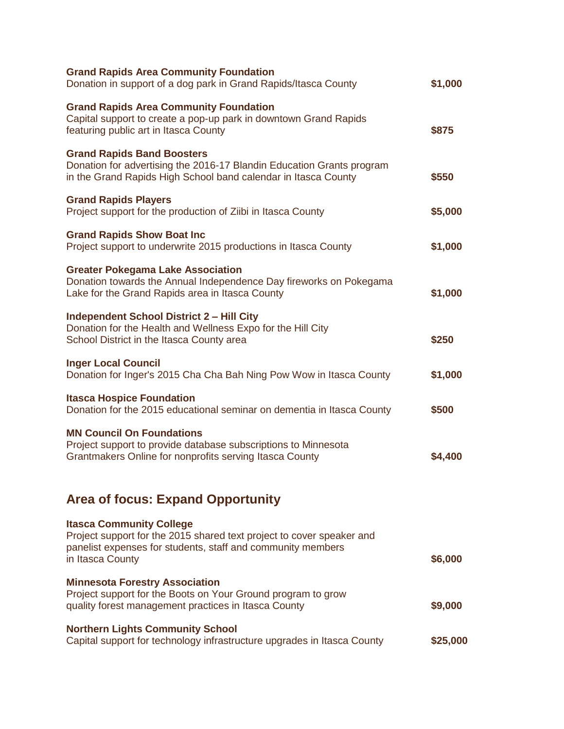| <b>Grand Rapids Area Community Foundation</b><br>Donation in support of a dog park in Grand Rapids/Itasca County                                                                            | \$1,000  |
|---------------------------------------------------------------------------------------------------------------------------------------------------------------------------------------------|----------|
| <b>Grand Rapids Area Community Foundation</b><br>Capital support to create a pop-up park in downtown Grand Rapids<br>featuring public art in Itasca County                                  | \$875    |
| <b>Grand Rapids Band Boosters</b><br>Donation for advertising the 2016-17 Blandin Education Grants program<br>in the Grand Rapids High School band calendar in Itasca County                | \$550    |
| <b>Grand Rapids Players</b><br>Project support for the production of Ziibi in Itasca County                                                                                                 | \$5,000  |
| <b>Grand Rapids Show Boat Inc</b><br>Project support to underwrite 2015 productions in Itasca County                                                                                        | \$1,000  |
| <b>Greater Pokegama Lake Association</b><br>Donation towards the Annual Independence Day fireworks on Pokegama<br>Lake for the Grand Rapids area in Itasca County                           | \$1,000  |
| <b>Independent School District 2 - Hill City</b><br>Donation for the Health and Wellness Expo for the Hill City<br>School District in the Itasca County area                                | \$250    |
| <b>Inger Local Council</b><br>Donation for Inger's 2015 Cha Cha Bah Ning Pow Wow in Itasca County                                                                                           | \$1,000  |
| <b>Itasca Hospice Foundation</b><br>Donation for the 2015 educational seminar on dementia in Itasca County                                                                                  | \$500    |
| <b>MN Council On Foundations</b><br>Project support to provide database subscriptions to Minnesota<br>Grantmakers Online for nonprofits serving Itasca County                               | \$4,400  |
| <b>Area of focus: Expand Opportunity</b>                                                                                                                                                    |          |
| <b>Itasca Community College</b><br>Project support for the 2015 shared text project to cover speaker and<br>panelist expenses for students, staff and community members<br>in Itasca County | \$6,000  |
| <b>Minnesota Forestry Association</b><br>Project support for the Boots on Your Ground program to grow<br>quality forest management practices in Itasca County                               | \$9,000  |
| <b>Northern Lights Community School</b><br>Capital support for technology infrastructure upgrades in Itasca County                                                                          | \$25,000 |
|                                                                                                                                                                                             |          |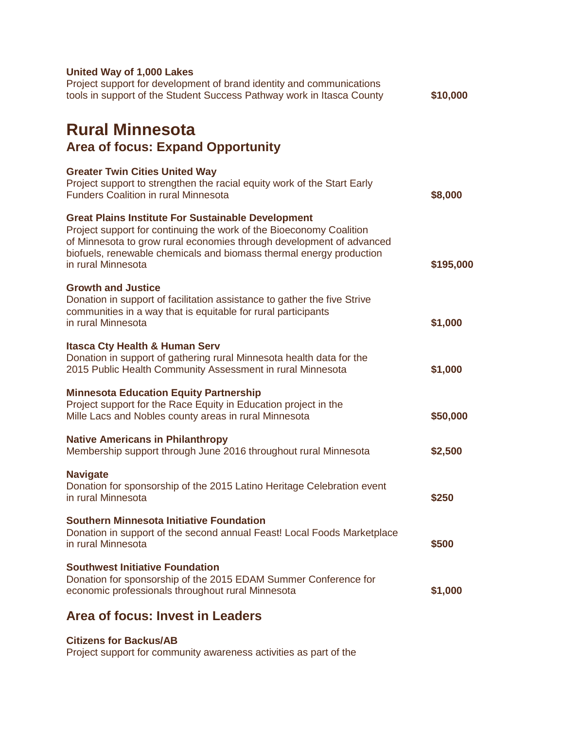| United Way of 1,000 Lakes<br>Project support for development of brand identity and communications<br>tools in support of the Student Success Pathway work in Itasca County                                                                                                                            | \$10,000  |
|-------------------------------------------------------------------------------------------------------------------------------------------------------------------------------------------------------------------------------------------------------------------------------------------------------|-----------|
| <b>Rural Minnesota</b><br><b>Area of focus: Expand Opportunity</b>                                                                                                                                                                                                                                    |           |
| <b>Greater Twin Cities United Way</b><br>Project support to strengthen the racial equity work of the Start Early<br><b>Funders Coalition in rural Minnesota</b>                                                                                                                                       | \$8,000   |
| <b>Great Plains Institute For Sustainable Development</b><br>Project support for continuing the work of the Bioeconomy Coalition<br>of Minnesota to grow rural economies through development of advanced<br>biofuels, renewable chemicals and biomass thermal energy production<br>in rural Minnesota | \$195,000 |
| <b>Growth and Justice</b><br>Donation in support of facilitation assistance to gather the five Strive<br>communities in a way that is equitable for rural participants<br>in rural Minnesota                                                                                                          | \$1,000   |
| <b>Itasca Cty Health &amp; Human Serv</b><br>Donation in support of gathering rural Minnesota health data for the<br>2015 Public Health Community Assessment in rural Minnesota                                                                                                                       | \$1,000   |
| <b>Minnesota Education Equity Partnership</b><br>Project support for the Race Equity in Education project in the<br>Mille Lacs and Nobles county areas in rural Minnesota                                                                                                                             | \$50,000  |
| <b>Native Americans in Philanthropy</b><br>Membership support through June 2016 throughout rural Minnesota                                                                                                                                                                                            | \$2,500   |
| <b>Navigate</b><br>Donation for sponsorship of the 2015 Latino Heritage Celebration event<br>in rural Minnesota                                                                                                                                                                                       | \$250     |
| <b>Southern Minnesota Initiative Foundation</b><br>Donation in support of the second annual Feast! Local Foods Marketplace<br>in rural Minnesota                                                                                                                                                      | \$500     |
| <b>Southwest Initiative Foundation</b><br>Donation for sponsorship of the 2015 EDAM Summer Conference for<br>economic professionals throughout rural Minnesota                                                                                                                                        | \$1,000   |
| Area of focus: Invest in Leaders                                                                                                                                                                                                                                                                      |           |

## **Citizens for Backus/AB**

Project support for community awareness activities as part of the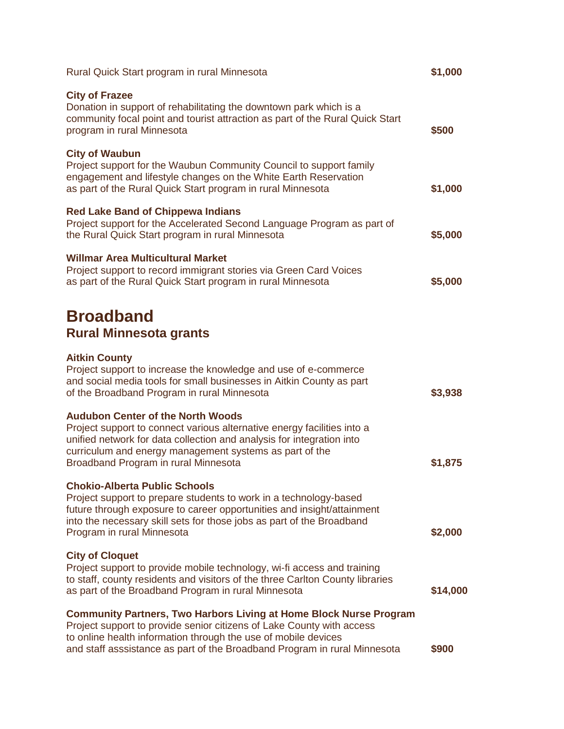| Rural Quick Start program in rural Minnesota                                                                                                                                                                                                                                                      | \$1,000  |
|---------------------------------------------------------------------------------------------------------------------------------------------------------------------------------------------------------------------------------------------------------------------------------------------------|----------|
| <b>City of Frazee</b><br>Donation in support of rehabilitating the downtown park which is a<br>community focal point and tourist attraction as part of the Rural Quick Start<br>program in rural Minnesota                                                                                        | \$500    |
| <b>City of Waubun</b><br>Project support for the Waubun Community Council to support family<br>engagement and lifestyle changes on the White Earth Reservation<br>as part of the Rural Quick Start program in rural Minnesota                                                                     | \$1,000  |
| <b>Red Lake Band of Chippewa Indians</b><br>Project support for the Accelerated Second Language Program as part of<br>the Rural Quick Start program in rural Minnesota                                                                                                                            | \$5,000  |
| <b>Willmar Area Multicultural Market</b><br>Project support to record immigrant stories via Green Card Voices<br>as part of the Rural Quick Start program in rural Minnesota                                                                                                                      | \$5,000  |
| <b>Broadband</b><br><b>Rural Minnesota grants</b>                                                                                                                                                                                                                                                 |          |
| <b>Aitkin County</b><br>Project support to increase the knowledge and use of e-commerce<br>and social media tools for small businesses in Aitkin County as part<br>of the Broadband Program in rural Minnesota                                                                                    | \$3,938  |
| <b>Audubon Center of the North Woods</b><br>Project support to connect various alternative energy facilities into a<br>unified network for data collection and analysis for integration into<br>curriculum and energy management systems as part of the<br>Broadband Program in rural Minnesota   | \$1,875  |
| <b>Chokio-Alberta Public Schools</b><br>Project support to prepare students to work in a technology-based<br>future through exposure to career opportunities and insight/attainment<br>into the necessary skill sets for those jobs as part of the Broadband<br>Program in rural Minnesota        | \$2,000  |
| <b>City of Cloquet</b><br>Project support to provide mobile technology, wi-fi access and training<br>to staff, county residents and visitors of the three Carlton County libraries<br>as part of the Broadband Program in rural Minnesota                                                         | \$14,000 |
| <b>Community Partners, Two Harbors Living at Home Block Nurse Program</b><br>Project support to provide senior citizens of Lake County with access<br>to online health information through the use of mobile devices<br>and staff asssistance as part of the Broadband Program in rural Minnesota | \$900    |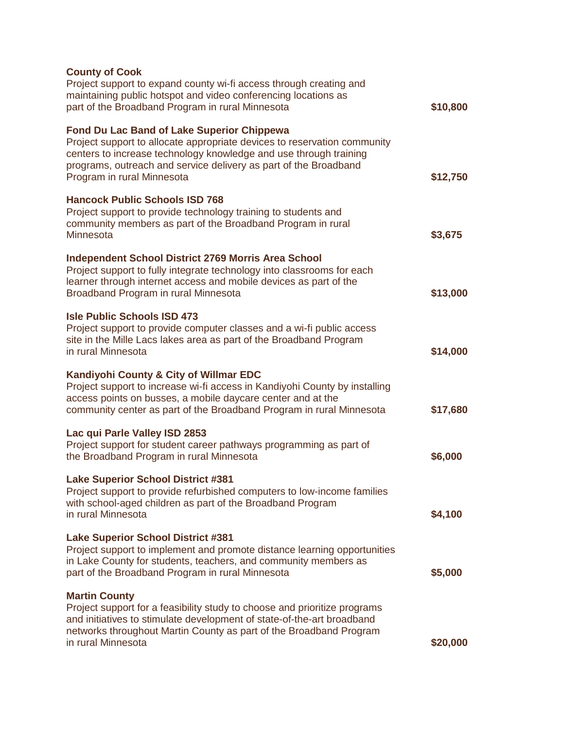| <b>County of Cook</b><br>Project support to expand county wi-fi access through creating and<br>maintaining public hotspot and video conferencing locations as<br>part of the Broadband Program in rural Minnesota                                                                                    | \$10,800 |
|------------------------------------------------------------------------------------------------------------------------------------------------------------------------------------------------------------------------------------------------------------------------------------------------------|----------|
| <b>Fond Du Lac Band of Lake Superior Chippewa</b><br>Project support to allocate appropriate devices to reservation community<br>centers to increase technology knowledge and use through training<br>programs, outreach and service delivery as part of the Broadband<br>Program in rural Minnesota | \$12,750 |
| <b>Hancock Public Schools ISD 768</b><br>Project support to provide technology training to students and<br>community members as part of the Broadband Program in rural<br><b>Minnesota</b>                                                                                                           | \$3,675  |
| <b>Independent School District 2769 Morris Area School</b><br>Project support to fully integrate technology into classrooms for each<br>learner through internet access and mobile devices as part of the<br>Broadband Program in rural Minnesota                                                    | \$13,000 |
| <b>Isle Public Schools ISD 473</b><br>Project support to provide computer classes and a wi-fi public access<br>site in the Mille Lacs lakes area as part of the Broadband Program<br>in rural Minnesota                                                                                              | \$14,000 |
| Kandiyohi County & City of Willmar EDC<br>Project support to increase wi-fi access in Kandiyohi County by installing<br>access points on busses, a mobile daycare center and at the<br>community center as part of the Broadband Program in rural Minnesota                                          | \$17,680 |
| Lac qui Parle Valley ISD 2853<br>Project support for student career pathways programming as part of<br>the Broadband Program in rural Minnesota                                                                                                                                                      | \$6,000  |
| <b>Lake Superior School District #381</b><br>Project support to provide refurbished computers to low-income families<br>with school-aged children as part of the Broadband Program<br>in rural Minnesota                                                                                             | \$4,100  |
| <b>Lake Superior School District #381</b><br>Project support to implement and promote distance learning opportunities<br>in Lake County for students, teachers, and community members as<br>part of the Broadband Program in rural Minnesota                                                         | \$5,000  |
| <b>Martin County</b><br>Project support for a feasibility study to choose and prioritize programs<br>and initiatives to stimulate development of state-of-the-art broadband<br>networks throughout Martin County as part of the Broadband Program<br>in rural Minnesota                              | \$20,000 |
|                                                                                                                                                                                                                                                                                                      |          |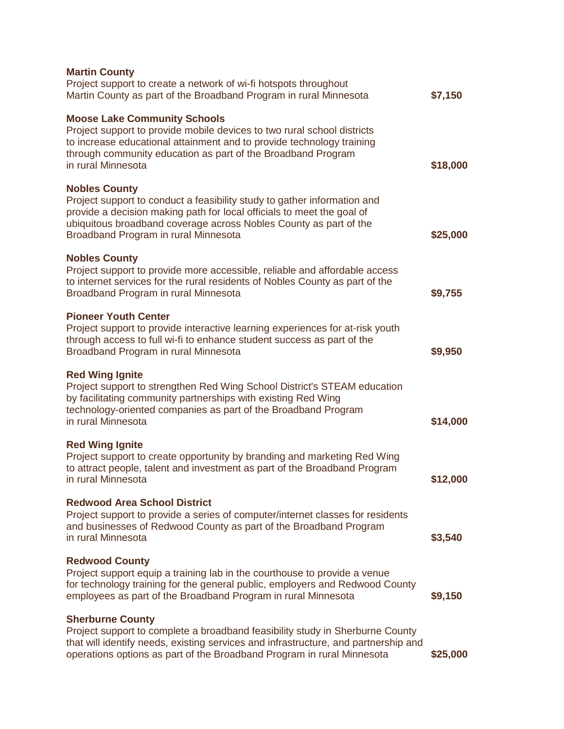| <b>Martin County</b><br>Project support to create a network of wi-fi hotspots throughout<br>Martin County as part of the Broadband Program in rural Minnesota                                                                                                                           | \$7,150  |
|-----------------------------------------------------------------------------------------------------------------------------------------------------------------------------------------------------------------------------------------------------------------------------------------|----------|
| <b>Moose Lake Community Schools</b><br>Project support to provide mobile devices to two rural school districts<br>to increase educational attainment and to provide technology training<br>through community education as part of the Broadband Program<br>in rural Minnesota           | \$18,000 |
| <b>Nobles County</b><br>Project support to conduct a feasibility study to gather information and<br>provide a decision making path for local officials to meet the goal of<br>ubiquitous broadband coverage across Nobles County as part of the<br>Broadband Program in rural Minnesota | \$25,000 |
| <b>Nobles County</b><br>Project support to provide more accessible, reliable and affordable access<br>to internet services for the rural residents of Nobles County as part of the<br>Broadband Program in rural Minnesota                                                              | \$9,755  |
| <b>Pioneer Youth Center</b><br>Project support to provide interactive learning experiences for at-risk youth<br>through access to full wi-fi to enhance student success as part of the<br>Broadband Program in rural Minnesota                                                          | \$9,950  |
| <b>Red Wing Ignite</b><br>Project support to strengthen Red Wing School District's STEAM education<br>by facilitating community partnerships with existing Red Wing<br>technology-oriented companies as part of the Broadband Program<br>in rural Minnesota                             | \$14,000 |
| <b>Red Wing Ignite</b><br>Project support to create opportunity by branding and marketing Red Wing<br>to attract people, talent and investment as part of the Broadband Program<br>in rural Minnesota                                                                                   | \$12,000 |
| <b>Redwood Area School District</b><br>Project support to provide a series of computer/internet classes for residents<br>and businesses of Redwood County as part of the Broadband Program<br>in rural Minnesota                                                                        | \$3,540  |
| <b>Redwood County</b><br>Project support equip a training lab in the courthouse to provide a venue<br>for technology training for the general public, employers and Redwood County<br>employees as part of the Broadband Program in rural Minnesota                                     | \$9,150  |
| <b>Sherburne County</b><br>Project support to complete a broadband feasibility study in Sherburne County<br>that will identify needs, existing services and infrastructure, and partnership and<br>operations options as part of the Broadband Program in rural Minnesota               | \$25,000 |